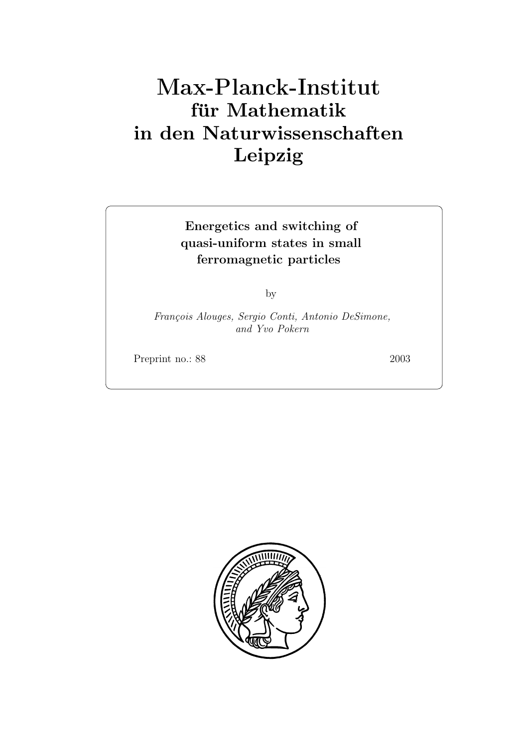# **für Mathematik in den Naturwissenschaften Leipzig**

# **Energetics and switching of quasi-uniform states in small ferromagnetic particles**

by

*Fran¸cois Alouges, Sergio Conti, Antonio DeSimone, and Yvo Pokern*

Preprint no.: 88 2003

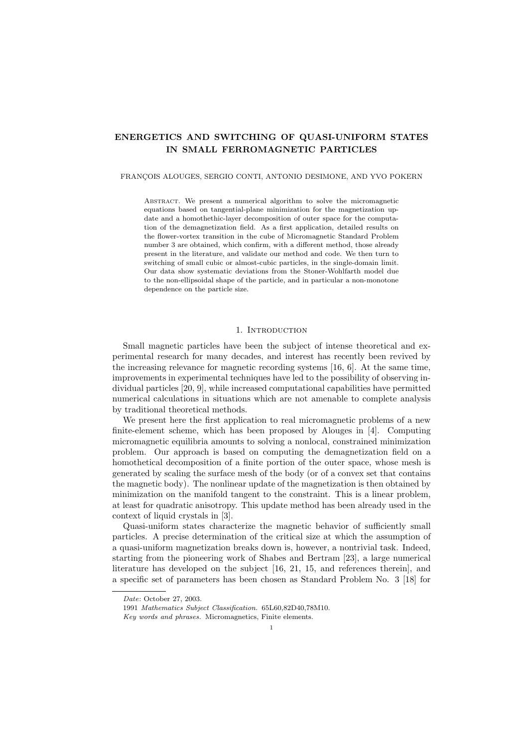# **ENERGETICS AND SWITCHING OF QUASI-UNIFORM STATES IN SMALL FERROMAGNETIC PARTICLES**

#### FRANCOIS ALOUGES, SERGIO CONTI, ANTONIO DESIMONE, AND YVO POKERN

Abstract. We present a numerical algorithm to solve the micromagnetic equations based on tangential-plane minimization for the magnetization update and a homothethic-layer decomposition of outer space for the computation of the demagnetization field. As a first application, detailed results on the flower-vortex transition in the cube of Micromagnetic Standard Problem number 3 are obtained, which confirm, with a different method, those already present in the literature, and validate our method and code. We then turn to switching of small cubic or almost-cubic particles, in the single-domain limit. Our data show systematic deviations from the Stoner-Wohlfarth model due to the non-ellipsoidal shape of the particle, and in particular a non-monotone dependence on the particle size.

# 1. INTRODUCTION

Small magnetic particles have been the subject of intense theoretical and experimental research for many decades, and interest has recently been revived by the increasing relevance for magnetic recording systems [16, 6]. At the same time, improvements in experimental techniques have led to the possibility of observing individual particles [20, 9], while increased computational capabilities have permitted numerical calculations in situations which are not amenable to complete analysis by traditional theoretical methods.

We present here the first application to real micromagnetic problems of a new finite-element scheme, which has been proposed by Alouges in [4]. Computing micromagnetic equilibria amounts to solving a nonlocal, constrained minimization problem. Our approach is based on computing the demagnetization field on a homothetical decomposition of a finite portion of the outer space, whose mesh is generated by scaling the surface mesh of the body (or of a convex set that contains the magnetic body). The nonlinear update of the magnetization is then obtained by minimization on the manifold tangent to the constraint. This is a linear problem, at least for quadratic anisotropy. This update method has been already used in the context of liquid crystals in [3].

Quasi-uniform states characterize the magnetic behavior of sufficiently small particles. A precise determination of the critical size at which the assumption of a quasi-uniform magnetization breaks down is, however, a nontrivial task. Indeed, starting from the pioneering work of Shabes and Bertram [23], a large numerical literature has developed on the subject [16, 21, 15, and references therein], and a specific set of parameters has been chosen as Standard Problem No. 3 [18] for

*Date*: October 27, 2003.

<sup>1991</sup> *Mathematics Subject Classification.* 65L60,82D40,78M10.

*Key words and phrases.* Micromagnetics, Finite elements.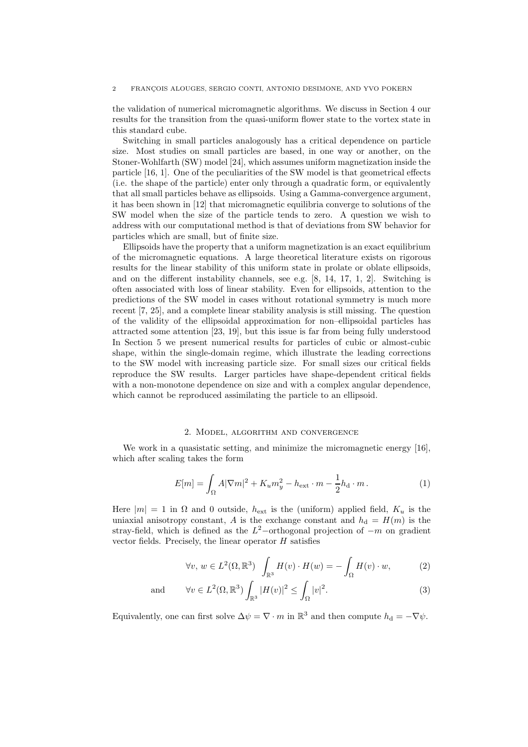#### 2 FRANÇOIS ALOUGES, SERGIO CONTI, ANTONIO DESIMONE, AND YVO POKERN

the validation of numerical micromagnetic algorithms. We discuss in Section 4 our results for the transition from the quasi-uniform flower state to the vortex state in this standard cube.

Switching in small particles analogously has a critical dependence on particle size. Most studies on small particles are based, in one way or another, on the Stoner-Wohlfarth (SW) model [24], which assumes uniform magnetization inside the particle [16, 1]. One of the peculiarities of the SW model is that geometrical effects (i.e. the shape of the particle) enter only through a quadratic form, or equivalently that all small particles behave as ellipsoids. Using a Gamma-convergence argument, it has been shown in [12] that micromagnetic equilibria converge to solutions of the SW model when the size of the particle tends to zero. A question we wish to address with our computational method is that of deviations from SW behavior for particles which are small, but of finite size.

Ellipsoids have the property that a uniform magnetization is an exact equilibrium of the micromagnetic equations. A large theoretical literature exists on rigorous results for the linear stability of this uniform state in prolate or oblate ellipsoids, and on the different instability channels, see e.g. [8, 14, 17, 1, 2]. Switching is often associated with loss of linear stability. Even for ellipsoids, attention to the predictions of the SW model in cases without rotational symmetry is much more recent [7, 25], and a complete linear stability analysis is still missing. The question of the validity of the ellipsoidal approximation for non–ellipsoidal particles has attracted some attention [23, 19], but this issue is far from being fully understood In Section 5 we present numerical results for particles of cubic or almost-cubic shape, within the single-domain regime, which illustrate the leading corrections to the SW model with increasing particle size. For small sizes our critical fields reproduce the SW results. Larger particles have shape-dependent critical fields with a non-monotone dependence on size and with a complex angular dependence, which cannot be reproduced assimilating the particle to an ellipsoid.

### 2. Model, algorithm and convergence

We work in a quasistatic setting, and minimize the micromagnetic energy [16], which after scaling takes the form

$$
E[m] = \int_{\Omega} A |\nabla m|^2 + K_u m_y^2 - h_{\text{ext}} \cdot m - \frac{1}{2} h_{\text{d}} \cdot m. \tag{1}
$$

Here  $|m| = 1$  in  $\Omega$  and 0 outside,  $h_{ext}$  is the (uniform) applied field,  $K_u$  is the uniaxial anisotropy constant, A is the exchange constant and  $h_d = H(m)$  is the stray-field, which is defined as the  $L^2$ -orthogonal projection of  $-m$  on gradient vector fields. Precisely, the linear operator  $H$  satisfies

$$
\forall v, w \in L^{2}(\Omega, \mathbb{R}^{3}) \quad \int_{\mathbb{R}^{3}} H(v) \cdot H(w) = -\int_{\Omega} H(v) \cdot w, \tag{2}
$$

and 
$$
\forall v \in L^{2}(\Omega, \mathbb{R}^{3}) \int_{\mathbb{R}^{3}} |H(v)|^{2} \leq \int_{\Omega} |v|^{2}.
$$
 (3)

Equivalently, one can first solve  $\Delta \psi = \nabla \cdot m$  in  $\mathbb{R}^3$  and then compute  $h_d = -\nabla \psi$ .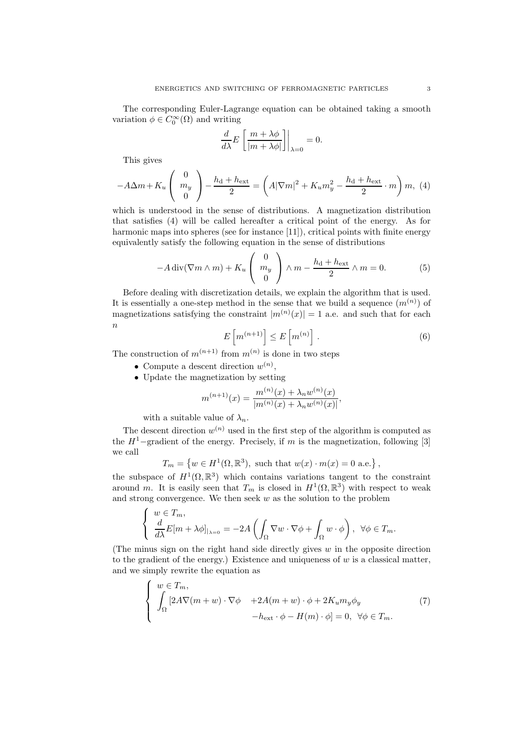The corresponding Euler-Lagrange equation can be obtained taking a smooth variation  $\phi \in C_0^{\infty}(\Omega)$  and writing

$$
\frac{d}{d\lambda}E\left[\frac{m+\lambda\phi}{|m+\lambda\phi|}\right]\Big|_{\lambda=0}=0.
$$

This gives

$$
-A\Delta m + K_u \left(\begin{array}{c} 0\\m_y\\0\end{array}\right) - \frac{h_d + h_{\text{ext}}}{2} = \left(A|\nabla m|^2 + K_u m_y^2 - \frac{h_d + h_{\text{ext}}}{2} \cdot m\right)m, \tag{4}
$$

which is understood in the sense of distributions. A magnetization distribution that satisfies (4) will be called hereafter a critical point of the energy. As for harmonic maps into spheres (see for instance [11]), critical points with finite energy equivalently satisfy the following equation in the sense of distributions

$$
-A\operatorname{div}(\nabla m\wedge m) + K_u \begin{pmatrix} 0\\ m_y\\ 0 \end{pmatrix} \wedge m - \frac{h_d + h_{\text{ext}}}{2} \wedge m = 0. \tag{5}
$$

Before dealing with discretization details, we explain the algorithm that is used. It is essentially a one-step method in the sense that we build a sequence  $(m^{(n)})$  of magnetizations satisfying the constraint  $|m^{(n)}(x)| = 1$  a.e. and such that for each n

$$
E\left[m^{(n+1)}\right] \le E\left[m^{(n)}\right].\tag{6}
$$

The construction of  $m^{(n+1)}$  from  $m^{(n)}$  is done in two steps

- Compute a descent direction  $w^{(n)}$ .
- Update the magnetization by setting

$$
m^{(n+1)}(x) = \frac{m^{(n)}(x) + \lambda_n w^{(n)}(x)}{|m^{(n)}(x) + \lambda_n w^{(n)}(x)|},
$$

with a suitable value of  $\lambda_n$ .

The descent direction  $w^{(n)}$  used in the first step of the algorithm is computed as the  $H^1$ –gradient of the energy. Precisely, if m is the magnetization, following [3] we call

$$
T_m = \left\{ w \in H^1(\Omega, \mathbb{R}^3), \text{ such that } w(x) \cdot m(x) = 0 \text{ a.e.} \right\},\
$$

the subspace of  $H^1(\Omega,\mathbb{R}^3)$  which contains variations tangent to the constraint around m. It is easily seen that  $T_m$  is closed in  $H^1(\Omega,\mathbb{R}^3)$  with respect to weak and strong convergence. We then seek  $w$  as the solution to the problem

$$
\left\{\begin{array}{l} w\in T_m,\\ \frac{d}{d\lambda}E[m+\lambda\phi]_{\mid_{\lambda=0}}=-2A\left(\int_\Omega \nabla w\cdot \nabla \phi+\int_\Omega w\cdot \phi\right),\ \ \forall \phi\in T_m. \end{array}\right.
$$

(The minus sign on the right hand side directly gives  $w$  in the opposite direction to the gradient of the energy.) Existence and uniqueness of  $w$  is a classical matter, and we simply rewrite the equation as

$$
\begin{cases}\nw \in T_m, \\
\int_{\Omega} \left[2A\nabla(m+w) \cdot \nabla \phi + 2A(m+w) \cdot \phi + 2K_u m_y \phi_y \right. \\
-h_{\text{ext}} \cdot \phi - H(m) \cdot \phi\right] = 0, \ \forall \phi \in T_m.\n\end{cases} (7)
$$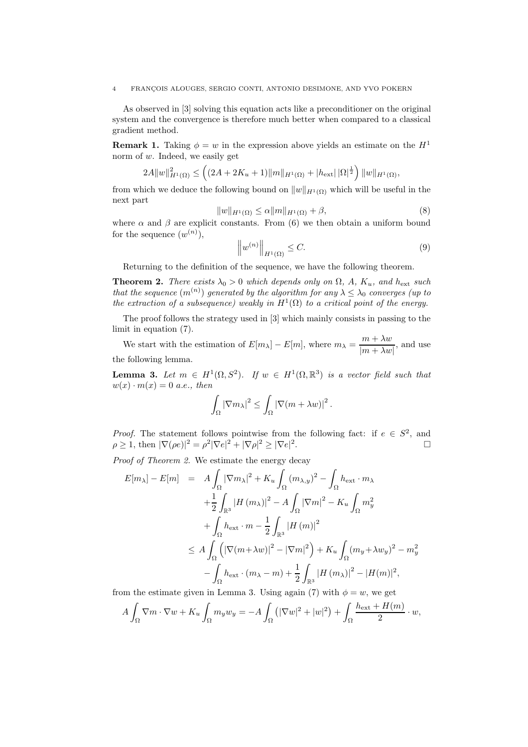#### 4 FRANC¸OIS ALOUGES, SERGIO CONTI, ANTONIO DESIMONE, AND YVO POKERN

As observed in [3] solving this equation acts like a preconditioner on the original system and the convergence is therefore much better when compared to a classical gradient method.

**Remark 1.** Taking  $\phi = w$  in the expression above yields an estimate on the  $H^1$ norm of w. Indeed, we easily get

$$
2A||w||_{H^1(\Omega)}^2 \leq \left( (2A + 2K_u + 1)||m||_{H^1(\Omega)} + |h_{\text{ext}}||\Omega|^{\frac{1}{2}} \right) ||w||_{H^1(\Omega)},
$$

from which we deduce the following bound on  $||w||_{H^1(\Omega)}$  which will be useful in the next part

$$
||w||_{H^{1}(\Omega)} \leq \alpha ||m||_{H^{1}(\Omega)} + \beta,
$$
\n(8)

where  $\alpha$  and  $\beta$  are explicit constants. From (6) we then obtain a uniform bound for the sequence  $(w^{(n)})$ ,

$$
\left\|w^{(n)}\right\|_{H^1(\Omega)} \le C. \tag{9}
$$

Returning to the definition of the sequence, we have the following theorem.

**Theorem 2.** *There exists*  $\lambda_0 > 0$  *which depends only on*  $\Omega$ *, A,*  $K_u$ *, and*  $h_{\text{ext}}$  *such that the sequence*  $(m^{(n)})$  *generated by the algorithm for any*  $\lambda \leq \lambda_0$  *converges (up to the extraction of a subsequence) weakly in*  $H^1(\Omega)$  *to a critical point of the energy.* 

The proof follows the strategy used in [3] which mainly consists in passing to the limit in equation (7).

We start with the estimation of  $E[m_\lambda] - E[m]$ , where  $m_\lambda = \frac{m + \lambda w}{|m + \lambda w|}$ , and use the following lemma.

**Lemma 3.** Let  $m \in H^1(\Omega, S^2)$ . If  $w \in H^1(\Omega, \mathbb{R}^3)$  is a vector field such that  $w(x) \cdot m(x) = 0$  a.e., then

$$
\int_{\Omega} |\nabla m_{\lambda}|^2 \leq \int_{\Omega} |\nabla (m + \lambda w)|^2.
$$

*Proof.* The statement follows pointwise from the following fact: if  $e \in S^2$ , and  $e > 1$  then  $|\nabla(e^e)|^2 - e^2|\nabla e|^2 + |\nabla e|^2 > |\nabla e|^2$  $\rho \geq 1$ , then  $|\nabla(\rho e)|^2 = \rho^2 |\nabla e|^2 + |\nabla \rho|^2 \geq |\nabla e|$  $\overline{a}$ .

*Proof of Theorem 2.* We estimate the energy decay

$$
E[m_{\lambda}] - E[m] = A \int_{\Omega} |\nabla m_{\lambda}|^2 + K_u \int_{\Omega} (m_{\lambda, y})^2 - \int_{\Omega} h_{\text{ext}} \cdot m_{\lambda}
$$
  
+ 
$$
\frac{1}{2} \int_{\mathbb{R}^3} |H (m_{\lambda})|^2 - A \int_{\Omega} |\nabla m|^2 - K_u \int_{\Omega} m_y^2
$$
  
+ 
$$
\int_{\Omega} h_{\text{ext}} \cdot m - \frac{1}{2} \int_{\mathbb{R}^3} |H (m)|^2
$$
  

$$
\leq A \int_{\Omega} \left( |\nabla (m + \lambda w)|^2 - |\nabla m|^2 \right) + K_u \int_{\Omega} (m_y + \lambda w_y)^2 - m_y^2
$$
  
- 
$$
\int_{\Omega} h_{\text{ext}} \cdot (m_{\lambda} - m) + \frac{1}{2} \int_{\mathbb{R}^3} |H (m_{\lambda})|^2 - |H (m)|^2,
$$

from the estimate given in Lemma 3. Using again (7) with  $\phi = w$ , we get

$$
A\int_{\Omega} \nabla m \cdot \nabla w + K_u \int_{\Omega} m_y w_y = -A \int_{\Omega} (|\nabla w|^2 + |w|^2) + \int_{\Omega} \frac{h_{\text{ext}} + H(m)}{2} \cdot w,
$$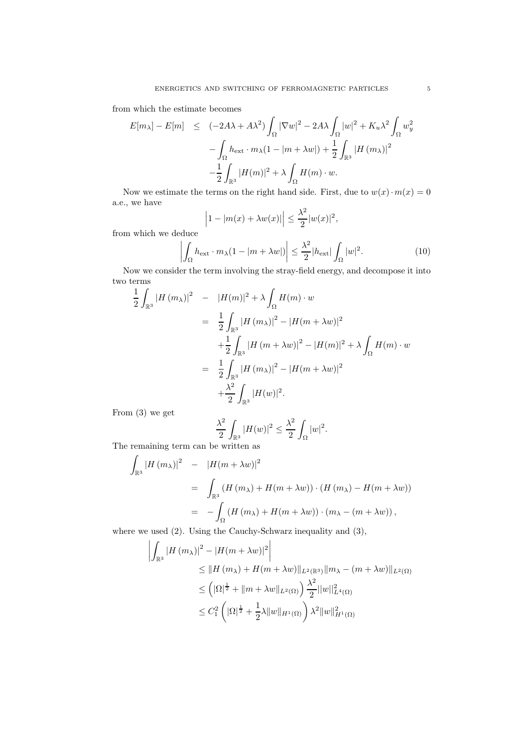from which the estimate becomes

$$
E[m_{\lambda}] - E[m] \leq (-2A\lambda + A\lambda^{2}) \int_{\Omega} |\nabla w|^{2} - 2A\lambda \int_{\Omega} |w|^{2} + K_{u}\lambda^{2} \int_{\Omega} w_{y}^{2}
$$

$$
- \int_{\Omega} h_{\text{ext}} \cdot m_{\lambda} (1 - |m + \lambda w|) + \frac{1}{2} \int_{\mathbb{R}^{3}} |H(m_{\lambda})|^{2}
$$

$$
- \frac{1}{2} \int_{\mathbb{R}^{3}} |H(m)|^{2} + \lambda \int_{\Omega} H(m) \cdot w.
$$

Now we estimate the terms on the right hand side. First, due to  $w(x) \cdot m(x) = 0$ a.e., we have  $\sim$ 

$$
\left|1-|m(x)+\lambda w(x)|\right| \leq \frac{\lambda^2}{2}|w(x)|^2,
$$

from which we deduce

$$
\left| \int_{\Omega} h_{\text{ext}} \cdot m_{\lambda} (1 - |m + \lambda w|) \right| \leq \frac{\lambda^2}{2} |h_{\text{ext}}| \int_{\Omega} |w|^2.
$$
 (10)

Now we consider the term involving the stray-field energy, and decompose it into two terms

$$
\frac{1}{2} \int_{\mathbb{R}^3} |H (m_{\lambda})|^2 - |H(m)|^2 + \lambda \int_{\Omega} H(m) \cdot w
$$
\n
$$
= \frac{1}{2} \int_{\mathbb{R}^3} |H (m_{\lambda})|^2 - |H(m + \lambda w)|^2
$$
\n
$$
+ \frac{1}{2} \int_{\mathbb{R}^3} |H (m + \lambda w)|^2 - |H(m)|^2 + \lambda \int_{\Omega} H(m) \cdot w
$$
\n
$$
= \frac{1}{2} \int_{\mathbb{R}^3} |H (m_{\lambda})|^2 - |H(m + \lambda w)|^2
$$
\n
$$
+ \frac{\lambda^2}{2} \int_{\mathbb{R}^3} |H(w)|^2.
$$

From (3) we get

$$
\frac{\lambda^2}{2}\int_{\mathbb{R}^3}|H(w)|^2\leq \frac{\lambda^2}{2}\int_{\Omega}|w|^2.
$$

The remaining term can be written as

$$
\int_{\mathbb{R}^3} |H(m_\lambda)|^2 = |H(m + \lambda w)|^2
$$
  
= 
$$
\int_{\mathbb{R}^3} (H(m_\lambda) + H(m + \lambda w)) \cdot (H(m_\lambda) - H(m + \lambda w))
$$
  
= 
$$
-\int_{\Omega} (H(m_\lambda) + H(m + \lambda w)) \cdot (m_\lambda - (m + \lambda w)),
$$

where we used (2). Using the Cauchy-Schwarz inequality and (3),

$$
\left| \int_{\mathbb{R}^3} |H (m_\lambda)|^2 - |H (m + \lambda w)|^2 \right|
$$
  
\n
$$
\leq ||H (m_\lambda) + H (m + \lambda w)||_{L^2(\mathbb{R}^3)} ||m_\lambda - (m + \lambda w)||_{L^2(\Omega)}
$$
  
\n
$$
\leq (|\Omega|^{\frac{1}{2}} + ||m + \lambda w||_{L^2(\Omega)}) \frac{\lambda^2}{2} ||w||_{L^4(\Omega)}^2
$$
  
\n
$$
\leq C_1^2 \left( |\Omega|^{\frac{1}{2}} + \frac{1}{2} \lambda ||w||_{H^1(\Omega)} \right) \lambda^2 ||w||_{H^1(\Omega)}^2
$$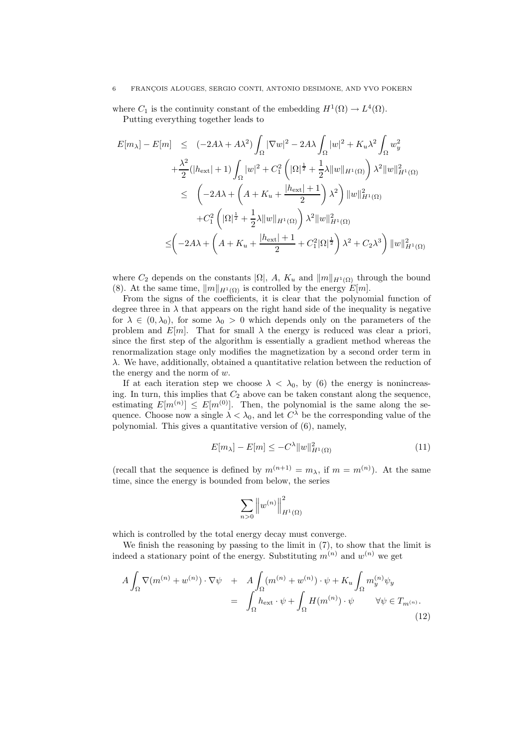#### 6 FRANC¸OIS ALOUGES, SERGIO CONTI, ANTONIO DESIMONE, AND YVO POKERN

where  $C_1$  is the continuity constant of the embedding  $H^1(\Omega) \to L^4(\Omega)$ . Putting everything together leads to

$$
E[m_{\lambda}] - E[m] \leq (-2A\lambda + A\lambda^{2}) \int_{\Omega} |\nabla w|^{2} - 2A\lambda \int_{\Omega} |w|^{2} + K_{u}\lambda^{2} \int_{\Omega} w_{y}^{2} + \frac{\lambda^{2}}{2} (|h_{ext}| + 1) \int_{\Omega} |w|^{2} + C_{1}^{2} (|\Omega|^{\frac{1}{2}} + \frac{1}{2}\lambda ||w||_{H^{1}(\Omega)}) \lambda^{2} ||w||_{H^{1}(\Omega)}^{2} \leq (-2A\lambda + \left(A + K_{u} + \frac{|h_{ext}| + 1}{2}\right)\lambda^{2}) ||w||_{H^{1}(\Omega)}^{2} + C_{1}^{2} (|\Omega|^{\frac{1}{2}} + \frac{1}{2}\lambda ||w||_{H^{1}(\Omega)}) \lambda^{2} ||w||_{H^{1}(\Omega)}^{2} \leq (-2A\lambda + \left(A + K_{u} + \frac{|h_{ext}| + 1}{2} + C_{1}^{2}|\Omega|^{\frac{1}{2}}\right)\lambda^{2} + C_{2}\lambda^{3}) ||w||_{H^{1}(\Omega)}^{2}
$$

where  $C_2$  depends on the constants  $|\Omega|$ , A,  $K_u$  and  $||m||_{H^1(\Omega)}$  through the bound (8). At the same time,  $||m||_{H^1(\Omega)}$  is controlled by the energy  $E[m]$ .

From the signs of the coefficients, it is clear that the polynomial function of degree three in  $\lambda$  that appears on the right hand side of the inequality is negative for  $\lambda \in (0, \lambda_0)$ , for some  $\lambda_0 > 0$  which depends only on the parameters of the problem and  $E[m]$ . That for small  $\lambda$  the energy is reduced was clear a priori, since the first step of the algorithm is essentially a gradient method whereas the renormalization stage only modifies the magnetization by a second order term in λ. We have, additionally, obtained a quantitative relation between the reduction of the energy and the norm of  $w$ .

If at each iteration step we choose  $\lambda < \lambda_0$ , by (6) the energy is nonincreasing. In turn, this implies that  $C_2$  above can be taken constant along the sequence, estimating  $E[m^{(n)}] \leq E[m^{(0)}]$ . Then, the polynomial is the same along the sequence. Choose now a single  $\lambda < \lambda_0$ , and let  $C^{\lambda}$  be the corresponding value of the polynomial. This gives a quantitative version of (6), namely,

$$
E[m_{\lambda}] - E[m] \le -C^{\lambda} \|w\|_{H^{1}(\Omega)}^{2}
$$
\n(11)

(recall that the sequence is defined by  $m^{(n+1)} = m_{\lambda}$ , if  $m = m^{(n)}$ ). At the same time, since the energy is bounded from below, the series

$$
\sum_{n>0}\left\|w^{(n)}\right\|_{H^1(\Omega)}^2
$$

which is controlled by the total energy decay must converge.

We finish the reasoning by passing to the limit in (7), to show that the limit is indeed a stationary point of the energy. Substituting  $m^{(n)}$  and  $w^{(n)}$  we get

$$
A \int_{\Omega} \nabla (m^{(n)} + w^{(n)}) \cdot \nabla \psi + A \int_{\Omega} (m^{(n)} + w^{(n)}) \cdot \psi + K_u \int_{\Omega} m_y^{(n)} \psi_y
$$
  
= 
$$
\int_{\Omega} h_{\text{ext}} \cdot \psi + \int_{\Omega} H(m^{(n)}) \cdot \psi \qquad \forall \psi \in T_{m^{(n)}}.
$$
 (12)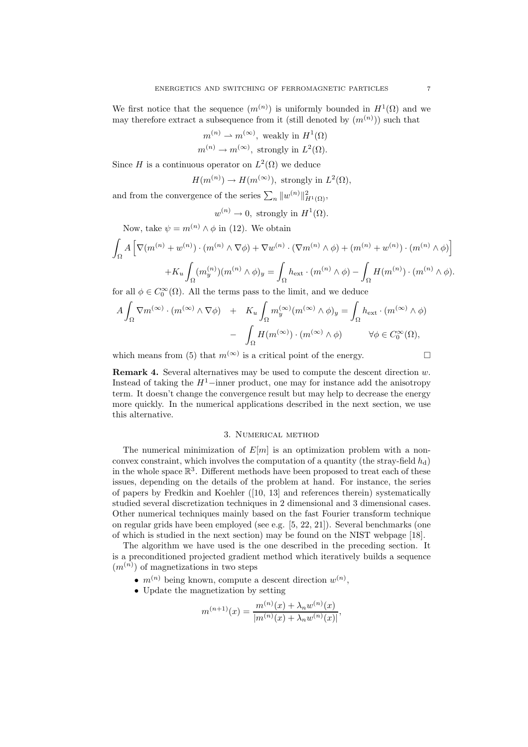We first notice that the sequence  $(m^{(n)})$  is uniformly bounded in  $H^1(\Omega)$  and we may therefore extract a subsequence from it (still denoted by  $(m^{(n)})$ ) such that

$$
m^{(n)} \to m^{(\infty)}
$$
, weakly in  $H^1(\Omega)$ 

$$
m^{(n)} \to m^{(\infty)}
$$
, strongly in  $L^2(\Omega)$ .

Since H is a continuous operator on  $L^2(\Omega)$  we deduce

$$
H(m^{(n)})\to H(m^{(\infty)}),\text{ strongly in }L^2(\Omega),
$$

and from the convergence of the series  $\sum_n \|w^{(n)}\|_{H^1(\Omega)}^2$ ,

$$
w^{(n)} \to 0
$$
, strongly in  $H^1(\Omega)$ .

Now, take  $\psi = m^{(n)} \wedge \phi$  in (12). We obtain

$$
\int_{\Omega} A \left[ \nabla (m^{(n)} + w^{(n)}) \cdot (m^{(n)} \wedge \nabla \phi) + \nabla w^{(n)} \cdot (\nabla m^{(n)} \wedge \phi) + (m^{(n)} + w^{(n)}) \cdot (m^{(n)} \wedge \phi) \right]
$$

$$
+ K_u \int_{\Omega} (m_y^{(n)}) (m^{(n)} \wedge \phi)_y = \int_{\Omega} h_{\text{ext}} \cdot (m^{(n)} \wedge \phi) - \int_{\Omega} H(m^{(n)}) \cdot (m^{(n)} \wedge \phi).
$$

for all  $\phi \in C_0^{\infty}(\Omega)$ . All the terms pass to the limit, and we deduce

$$
A \int_{\Omega} \nabla m^{(\infty)} \cdot (m^{(\infty)} \wedge \nabla \phi) + K_u \int_{\Omega} m_y^{(\infty)} (m^{(\infty)} \wedge \phi)_y = \int_{\Omega} h_{\text{ext}} \cdot (m^{(\infty)} \wedge \phi) - \int_{\Omega} H(m^{(\infty)}) \cdot (m^{(\infty)} \wedge \phi) \qquad \forall \phi \in C_0^{\infty}(\Omega),
$$

which means from (5) that  $m^{(\infty)}$  is a critical point of the energy.

**Remark 4.** Several alternatives may be used to compute the descent direction w. Instead of taking the  $H^1$ –inner product, one may for instance add the anisotropy term. It doesn't change the convergence result but may help to decrease the energy more quickly. In the numerical applications described in the next section, we use this alternative.

# 3. Numerical method

The numerical minimization of  $E[m]$  is an optimization problem with a nonconvex constraint, which involves the computation of a quantity (the stray-field  $h_d$ ) in the whole space  $\mathbb{R}^3$ . Different methods have been proposed to treat each of these issues, depending on the details of the problem at hand. For instance, the series of papers by Fredkin and Koehler ([10, 13] and references therein) systematically studied several discretization techniques in 2 dimensional and 3 dimensional cases. Other numerical techniques mainly based on the fast Fourier transform technique on regular grids have been employed (see e.g. [5, 22, 21]). Several benchmarks (one of which is studied in the next section) may be found on the NIST webpage [18].

The algorithm we have used is the one described in the preceding section. It is a preconditioned projected gradient method which iteratively builds a sequence  $(m^{(n)})$  of magnetizations in two steps

- $m^{(n)}$  being known, compute a descent direction  $w^{(n)}$ .
- Update the magnetization by setting

$$
m^{(n+1)}(x) = \frac{m^{(n)}(x) + \lambda_n w^{(n)}(x)}{|m^{(n)}(x) + \lambda_n w^{(n)}(x)|},
$$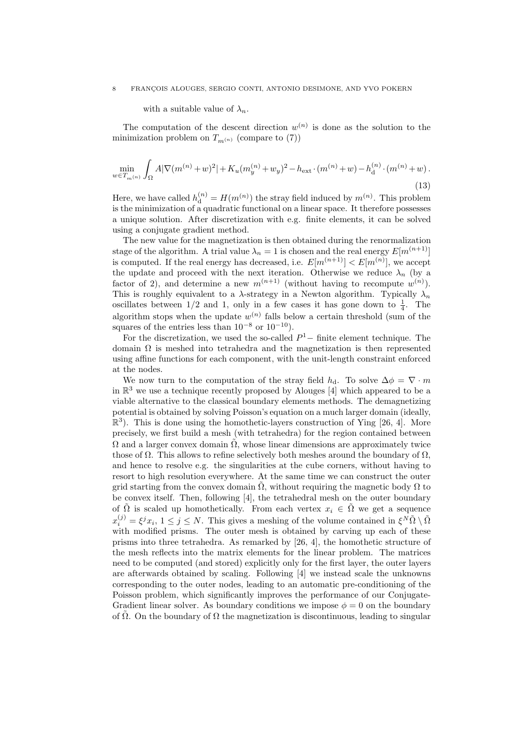#### 8 FRANCOIS ALOUGES, SERGIO CONTI, ANTONIO DESIMONE, AND YVO POKERN

with a suitable value of  $\lambda_n$ .

The computation of the descent direction  $w^{(n)}$  is done as the solution to the minimization problem on  $T_{m(n)}$  (compare to (7))

$$
\min_{w \in T_{m^{(n)}}} \int_{\Omega} A |\nabla (m^{(n)} + w)^2| + K_u (m_y^{(n)} + w_y)^2 - h_{\text{ext}} \cdot (m^{(n)} + w) - h_d^{(n)} \cdot (m^{(n)} + w) \,. \tag{13}
$$

Here, we have called  $h_d^{(n)} = H(m^{(n)})$  the stray field induced by  $m^{(n)}$ . This problem is the minimization of a quadratic functional on a linear space. It therefore possesses a unique solution. After discretization with e.g. finite elements, it can be solved using a conjugate gradient method.

The new value for the magnetization is then obtained during the renormalization stage of the algorithm. A trial value  $\lambda_n = 1$  is chosen and the real energy  $E[m^{(n+1)}]$ is computed. If the real energy has decreased, i.e.  $E[m^{(n+1)}] < E[m^{(n)}]$ , we accept the update and proceed with the next iteration. Otherwise we reduce  $\lambda_n$  (by a factor of 2), and determine a new  $m^{(n+1)}$  (without having to recompute  $w^{(n)}$ ). This is roughly equivalent to a  $\lambda$ -strategy in a Newton algorithm. Typically  $\lambda_n$ oscillates between  $1/2$  and 1, only in a few cases it has gone down to  $\frac{1}{4}$ . The algorithm stops when the update  $w^{(n)}$  falls below a certain threshold (sum of the squares of the entries less than  $10^{-8}$  or  $10^{-10}$ ).

For the discretization, we used the so-called  $P^1-$  finite element technique. The domain  $\Omega$  is meshed into tetrahedra and the magnetization is then represented using affine functions for each component, with the unit-length constraint enforced at the nodes.

We now turn to the computation of the stray field  $h_d$ . To solve  $\Delta \phi = \nabla \cdot m$ in  $\mathbb{R}^3$  we use a technique recently proposed by Alouges [4] which appeared to be a viable alternative to the classical boundary elements methods. The demagnetizing potential is obtained by solving Poisson's equation on a much larger domain (ideally,  $\mathbb{R}^3$ ). This is done using the homothetic-layers construction of Ying [26, 4]. More precisely, we first build a mesh (with tetrahedra) for the region contained between  $\Omega$  and a larger convex domain  $\tilde{\Omega}$ , whose linear dimensions are approximately twice those of  $\Omega$ . This allows to refine selectively both meshes around the boundary of  $\Omega$ , and hence to resolve e.g. the singularities at the cube corners, without having to resort to high resolution everywhere. At the same time we can construct the outer grid starting from the convex domain  $\Omega$ , without requiring the magnetic body  $\Omega$  to be convex itself. Then, following [4], the tetrahedral mesh on the outer boundary of  $\tilde{\Omega}$  is scaled up homothetically. From each vertex  $x_i \in \tilde{\Omega}$  we get a sequence  $x_i^{(j)} = \xi^j x_i, 1 \leq j \leq N$ . This gives a meshing of the volume contained in  $\xi^N \tilde{\Omega} \setminus \tilde{\Omega}$ with modified prisms. The outer mesh is obtained by carving up each of these prisms into three tetrahedra. As remarked by [26, 4], the homothetic structure of the mesh reflects into the matrix elements for the linear problem. The matrices need to be computed (and stored) explicitly only for the first layer, the outer layers are afterwards obtained by scaling. Following [4] we instead scale the unknowns corresponding to the outer nodes, leading to an automatic pre-conditioning of the Poisson problem, which significantly improves the performance of our Conjugate-Gradient linear solver. As boundary conditions we impose  $\phi = 0$  on the boundary of  $\Omega$ . On the boundary of  $\Omega$  the magnetization is discontinuous, leading to singular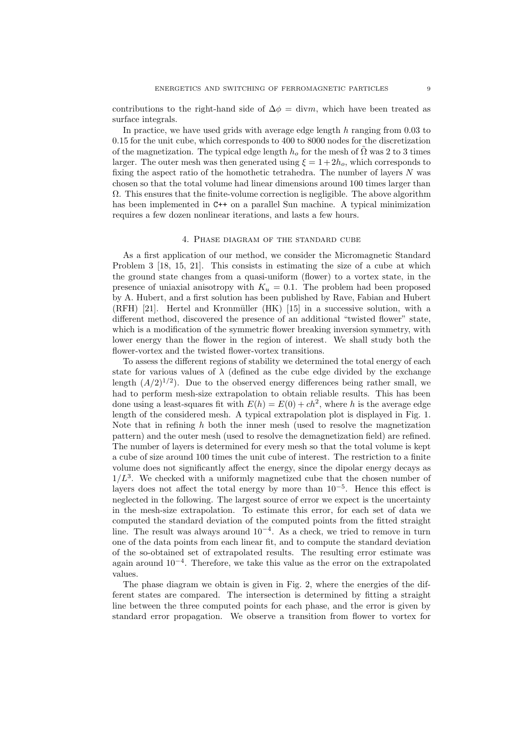contributions to the right-hand side of  $\Delta \phi = \text{div}m$ , which have been treated as surface integrals.

In practice, we have used grids with average edge length  $h$  ranging from 0.03 to 0.15 for the unit cube, which corresponds to 400 to 8000 nodes for the discretization of the magnetization. The typical edge length  $h_o$  for the mesh of  $\Omega$  was 2 to 3 times larger. The outer mesh was then generated using  $\xi = 1 + 2h_o$ , which corresponds to fixing the aspect ratio of the homothetic tetrahedra. The number of layers  $N$  was chosen so that the total volume had linear dimensions around 100 times larger than  $\Omega$ . This ensures that the finite-volume correction is negligible. The above algorithm has been implemented in C++ on a parallel Sun machine. A typical minimization requires a few dozen nonlinear iterations, and lasts a few hours.

## 4. Phase diagram of the standard cube

As a first application of our method, we consider the Micromagnetic Standard Problem 3 [18, 15, 21]. This consists in estimating the size of a cube at which the ground state changes from a quasi-uniform (flower) to a vortex state, in the presence of uniaxial anisotropy with  $K_u = 0.1$ . The problem had been proposed by A. Hubert, and a first solution has been published by Rave, Fabian and Hubert  $(RFH)$  [21]. Hertel and Kronmüller  $(HK)$  [15] in a successive solution, with a different method, discovered the presence of an additional "twisted flower" state, which is a modification of the symmetric flower breaking inversion symmetry, with lower energy than the flower in the region of interest. We shall study both the flower-vortex and the twisted flower-vortex transitions.

To assess the different regions of stability we determined the total energy of each state for various values of  $\lambda$  (defined as the cube edge divided by the exchange length  $(A/2)^{1/2}$ ). Due to the observed energy differences being rather small, we had to perform mesh-size extrapolation to obtain reliable results. This has been done using a least-squares fit with  $E(h) = E(0) + ch^2$ , where h is the average edge length of the considered mesh. A typical extrapolation plot is displayed in Fig. 1. Note that in refining  $h$  both the inner mesh (used to resolve the magnetization pattern) and the outer mesh (used to resolve the demagnetization field) are refined. The number of layers is determined for every mesh so that the total volume is kept a cube of size around 100 times the unit cube of interest. The restriction to a finite volume does not significantly affect the energy, since the dipolar energy decays as  $1/L<sup>3</sup>$ . We checked with a uniformly magnetized cube that the chosen number of layers does not affect the total energy by more than  $10^{-5}$ . Hence this effect is neglected in the following. The largest source of error we expect is the uncertainty in the mesh-size extrapolation. To estimate this error, for each set of data we computed the standard deviation of the computed points from the fitted straight line. The result was always around  $10^{-4}$ . As a check, we tried to remove in turn one of the data points from each linear fit, and to compute the standard deviation of the so-obtained set of extrapolated results. The resulting error estimate was again around 10−<sup>4</sup>. Therefore, we take this value as the error on the extrapolated values.

The phase diagram we obtain is given in Fig. 2, where the energies of the different states are compared. The intersection is determined by fitting a straight line between the three computed points for each phase, and the error is given by standard error propagation. We observe a transition from flower to vortex for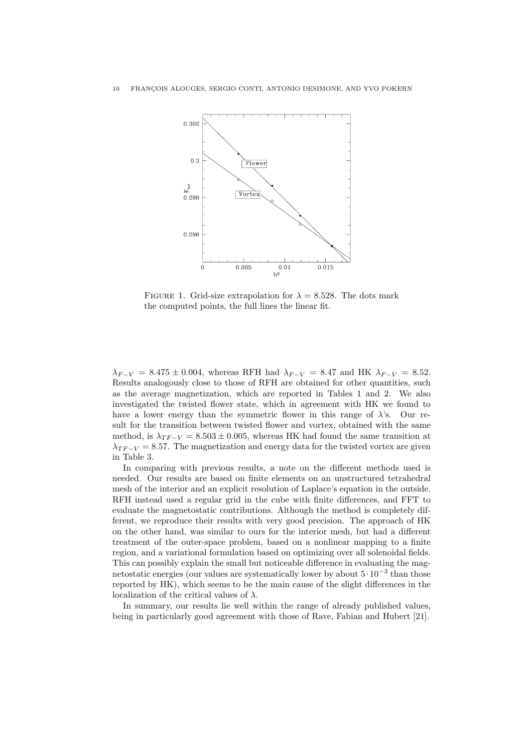

FIGURE 1. Grid-size extrapolation for  $\lambda = 8.528$ . The dots mark the computed points, the full lines the linear fit.

 $\lambda_{F-V} = 8.475 \pm 0.004$ , whereas RFH had  $\lambda_{F-V} = 8.47$  and HK  $\lambda_{F-V} = 8.52$ . Results analogously close to those of RFH are obtained for other quantities, such as the average magnetization, which are reported in Tables 1 and 2. We also investigated the twisted flower state, which in agreement with HK we found to have a lower energy than the symmetric flower in this range of  $\lambda$ 's. Our result for the transition between twisted flower and vortex, obtained with the same method, is  $\lambda_{TF-V} = 8.503 \pm 0.005$ , whereas HK had found the same transition at  $\lambda_{TF-V} = 8.57$ . The magnetization and energy data for the twisted vortex are given in Table 3.

In comparing with previous results, a note on the different methods used is needed. Our results are based on finite elements on an unstructured tetrahedral mesh of the interior and an explicit resolution of Laplace's equation in the outside. RFH instead used a regular grid in the cube with finite differences, and FFT to evaluate the magnetostatic contributions. Although the method is completely different, we reproduce their results with very good precision. The approach of HK on the other hand, was similar to ours for the interior mesh, but had a different treatment of the outer-space problem, based on a nonlinear mapping to a finite region, and a variational formulation based on optimizing over all solenoidal fields. This can possibly explain the small but noticeable difference in evaluating the magnetostatic energies (our values are systematically lower by about 5·10−<sup>3</sup> than those reported by HK), which seems to be the main cause of the slight differences in the localization of the critical values of  $\lambda$ .

In summary, our results lie well within the range of already published values, being in particularly good agreement with those of Rave, Fabian and Hubert [21].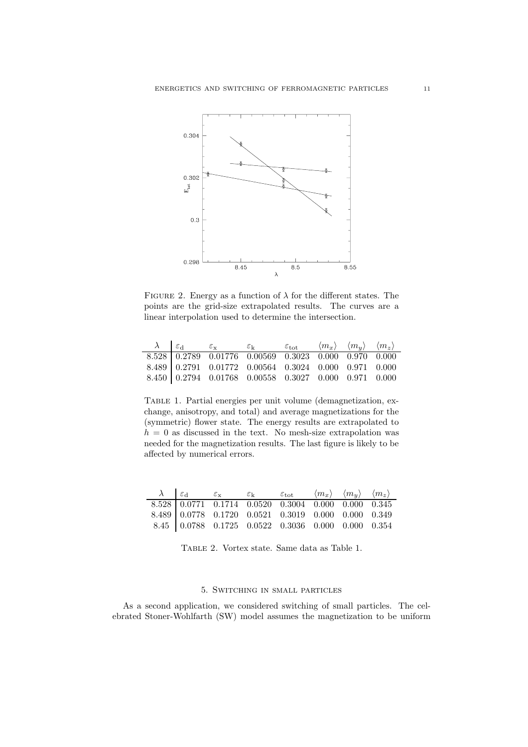

FIGURE 2. Energy as a function of  $\lambda$  for the different states. The points are the grid-size extrapolated results. The curves are a linear interpolation used to determine the intersection.

|  | $\lambda$ $\varepsilon_{\rm d}$ $\varepsilon_{\rm x}$                                               | $\varepsilon_{\rm k}$ $\varepsilon_{\rm tot}$ |  | $\langle m_x \rangle$ $\langle m_y \rangle$ $\langle m_z \rangle$ |  |
|--|-----------------------------------------------------------------------------------------------------|-----------------------------------------------|--|-------------------------------------------------------------------|--|
|  | $8.528 \begin{array}{ ccc} 0.2789 & 0.01776 & 0.00569 & 0.3023 & 0.000 & 0.970 & 0.000 \end{array}$ |                                               |  |                                                                   |  |
|  | $8.489 \begin{array}{ ccc} 0.2791 & 0.01772 & 0.00564 & 0.3024 & 0.000 & 0.971 & 0.000 \end{array}$ |                                               |  |                                                                   |  |
|  | $8.450 \big  0.2794 \big  0.01768 \big  0.00558 \big  0.3027 \big  0.000 \big  0.971 \big  0.000$   |                                               |  |                                                                   |  |

Table 1. Partial energies per unit volume (demagnetization, exchange, anisotropy, and total) and average magnetizations for the (symmetric) flower state. The energy results are extrapolated to  $h = 0$  as discussed in the text. No mesh-size extrapolation was needed for the magnetization results. The last figure is likely to be affected by numerical errors.

| $\lambda$ $\varepsilon_{\rm d}$ $\varepsilon_{\rm x}$ |  | $\varepsilon_{\rm k}$ $\varepsilon_{\rm tot}$ $\langle m_x \rangle$ $\langle m_y \rangle$ $\langle m_z \rangle$ |  |  |
|-------------------------------------------------------|--|-----------------------------------------------------------------------------------------------------------------|--|--|
|                                                       |  | 8.528 0.0771 0.1714 0.0520 0.3004 0.000 0.000 0.345                                                             |  |  |
|                                                       |  | $8.489 \begin{array}{ ccc} 0.0778 & 0.1720 & 0.0521 & 0.3019 & 0.000 & 0.000 & 0.349 \end{array}$               |  |  |
|                                                       |  | $8.45$ 0.0788 0.1725 0.0522 0.3036 0.000 0.000 0.354                                                            |  |  |

Table 2. Vortex state. Same data as Table 1.

# 5. Switching in small particles

As a second application, we considered switching of small particles. The celebrated Stoner-Wohlfarth (SW) model assumes the magnetization to be uniform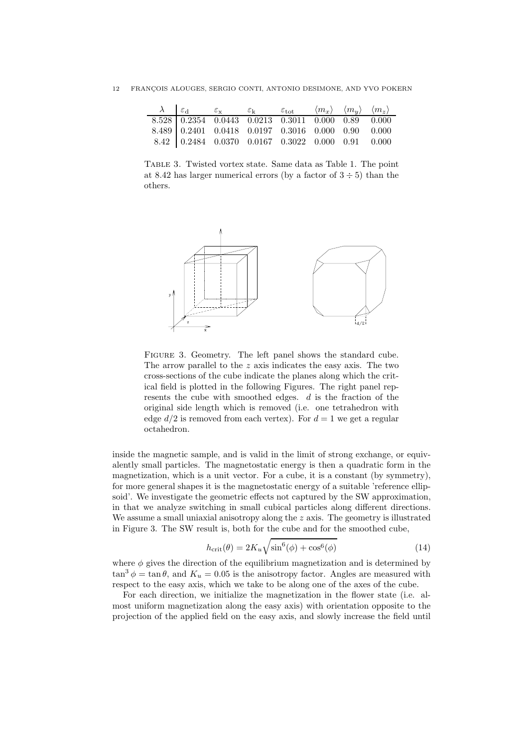| $\lambda \begin{pmatrix} \varepsilon_{\rm d} & \varepsilon_{\rm x} & \varepsilon_{\rm k} & \varepsilon_{\rm tot} & \langle m_x \rangle & \langle m_y \rangle & \langle m_z \rangle \end{pmatrix}$ |  |  |  |
|---------------------------------------------------------------------------------------------------------------------------------------------------------------------------------------------------|--|--|--|
| 8.528 0.2354 0.0443 0.0213 0.3011 0.000 0.89 0.000                                                                                                                                                |  |  |  |
| $8.489$ 0.2401 0.0418 0.0197 0.3016 0.000 0.90 0.000                                                                                                                                              |  |  |  |
| $8.42$ 0.2484 0.0370 0.0167 0.3022 0.000 0.91 0.000                                                                                                                                               |  |  |  |

Table 3. Twisted vortex state. Same data as Table 1. The point at 8.42 has larger numerical errors (by a factor of  $3 \div 5$ ) than the others.



FIGURE 3. Geometry. The left panel shows the standard cube. The arrow parallel to the z axis indicates the easy axis. The two cross-sections of the cube indicate the planes along which the critical field is plotted in the following Figures. The right panel represents the cube with smoothed edges.  $d$  is the fraction of the original side length which is removed (i.e. one tetrahedron with edge  $d/2$  is removed from each vertex). For  $d = 1$  we get a regular octahedron.

inside the magnetic sample, and is valid in the limit of strong exchange, or equivalently small particles. The magnetostatic energy is then a quadratic form in the magnetization, which is a unit vector. For a cube, it is a constant (by symmetry), for more general shapes it is the magnetostatic energy of a suitable 'reference ellipsoid'. We investigate the geometric effects not captured by the SW approximation, in that we analyze switching in small cubical particles along different directions. We assume a small uniaxial anisotropy along the  $z$  axis. The geometry is illustrated in Figure 3. The SW result is, both for the cube and for the smoothed cube,

$$
h_{\rm crit}(\theta) = 2K_u \sqrt{\sin^6(\phi) + \cos^6(\phi)}
$$
 (14)

where  $\phi$  gives the direction of the equilibrium magnetization and is determined by  $\tan^3 \phi = \tan \theta$ , and  $K_u = 0.05$  is the anisotropy factor. Angles are measured with respect to the easy axis, which we take to be along one of the axes of the cube.

For each direction, we initialize the magnetization in the flower state (i.e. almost uniform magnetization along the easy axis) with orientation opposite to the projection of the applied field on the easy axis, and slowly increase the field until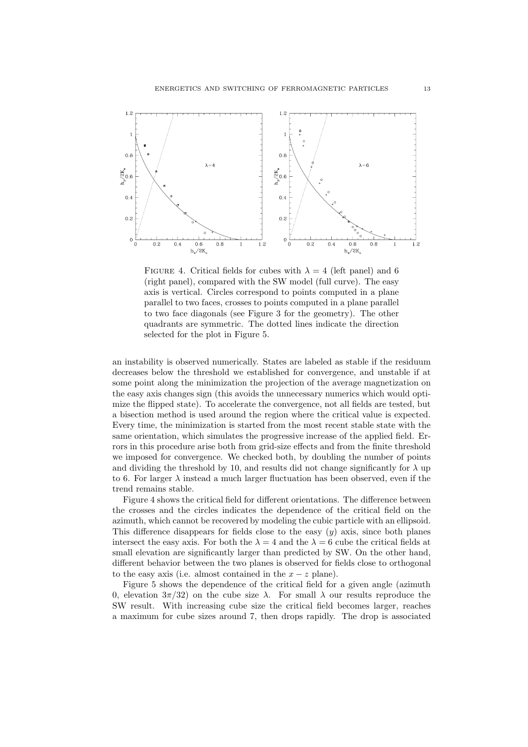

FIGURE 4. Critical fields for cubes with  $\lambda = 4$  (left panel) and 6 (right panel), compared with the SW model (full curve). The easy axis is vertical. Circles correspond to points computed in a plane parallel to two faces, crosses to points computed in a plane parallel to two face diagonals (see Figure 3 for the geometry). The other quadrants are symmetric. The dotted lines indicate the direction selected for the plot in Figure 5.

an instability is observed numerically. States are labeled as stable if the residuum decreases below the threshold we established for convergence, and unstable if at some point along the minimization the projection of the average magnetization on the easy axis changes sign (this avoids the unnecessary numerics which would optimize the flipped state). To accelerate the convergence, not all fields are tested, but a bisection method is used around the region where the critical value is expected. Every time, the minimization is started from the most recent stable state with the same orientation, which simulates the progressive increase of the applied field. Errors in this procedure arise both from grid-size effects and from the finite threshold we imposed for convergence. We checked both, by doubling the number of points and dividing the threshold by 10, and results did not change significantly for  $\lambda$  up to 6. For larger  $\lambda$  instead a much larger fluctuation has been observed, even if the trend remains stable.

Figure 4 shows the critical field for different orientations. The difference between the crosses and the circles indicates the dependence of the critical field on the azimuth, which cannot be recovered by modeling the cubic particle with an ellipsoid. This difference disappears for fields close to the easy  $(y)$  axis, since both planes intersect the easy axis. For both the  $\lambda = 4$  and the  $\lambda = 6$  cube the critical fields at small elevation are significantly larger than predicted by SW. On the other hand, different behavior between the two planes is observed for fields close to orthogonal to the easy axis (i.e. almost contained in the  $x - z$  plane).

Figure 5 shows the dependence of the critical field for a given angle (azimuth 0, elevation 3π/32) on the cube size λ. For small λ our results reproduce the SW result. With increasing cube size the critical field becomes larger, reaches a maximum for cube sizes around 7, then drops rapidly. The drop is associated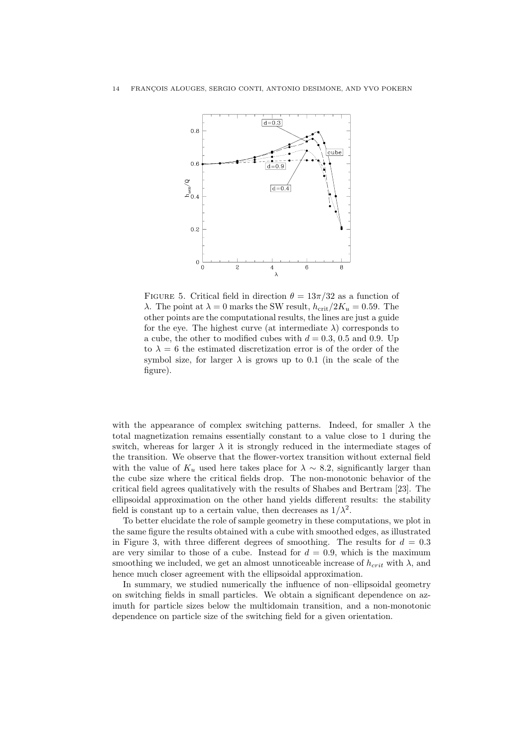

FIGURE 5. Critical field in direction  $\theta = 13\pi/32$  as a function of λ. The point at  $\lambda = 0$  marks the SW result,  $h_{\text{crit}}/2K_u = 0.59$ . The other points are the computational results, the lines are just a guide for the eye. The highest curve (at intermediate  $\lambda$ ) corresponds to a cube, the other to modified cubes with  $d = 0.3, 0.5$  and 0.9. Up to  $\lambda = 6$  the estimated discretization error is of the order of the symbol size, for larger  $\lambda$  is grows up to 0.1 (in the scale of the figure).

with the appearance of complex switching patterns. Indeed, for smaller  $\lambda$  the total magnetization remains essentially constant to a value close to 1 during the switch, whereas for larger  $\lambda$  it is strongly reduced in the intermediate stages of the transition. We observe that the flower-vortex transition without external field with the value of  $K_u$  used here takes place for  $\lambda \sim 8.2$ , significantly larger than the cube size where the critical fields drop. The non-monotonic behavior of the critical field agrees qualitatively with the results of Shabes and Bertram [23]. The ellipsoidal approximation on the other hand yields different results: the stability field is constant up to a certain value, then decreases as  $1/\lambda^2$ .

To better elucidate the role of sample geometry in these computations, we plot in the same figure the results obtained with a cube with smoothed edges, as illustrated in Figure 3, with three different degrees of smoothing. The results for  $d = 0.3$ are very similar to those of a cube. Instead for  $d = 0.9$ , which is the maximum smoothing we included, we get an almost unnoticeable increase of  $h_{crit}$  with  $\lambda$ , and hence much closer agreement with the ellipsoidal approximation.

In summary, we studied numerically the influence of non–ellipsoidal geometry on switching fields in small particles. We obtain a significant dependence on azimuth for particle sizes below the multidomain transition, and a non-monotonic dependence on particle size of the switching field for a given orientation.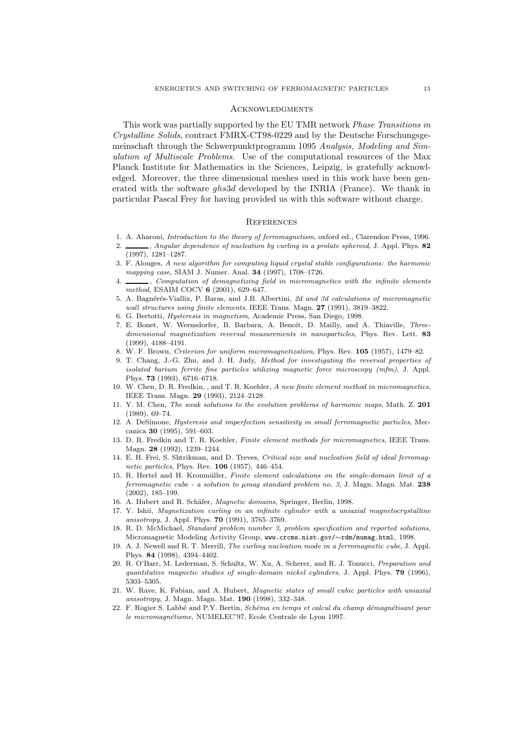#### **ACKNOWLEDGMENTS**

This work was partially supported by the EU TMR network *Phase Transitions in Crystalline Solids*, contract FMRX-CT98-0229 and by the Deutsche Forschungsgemeinschaft through the Schwerpunktprogramm 1095 *Analysis, Modeling and Simulation of Multiscale Problems*. Use of the computational resources of the Max Planck Institute for Mathematics in the Sciences, Leipzig, is gratefully acknowledged. Moreover, the three dimensional meshes used in this work have been generated with the software ghs3d developed by the INRIA (France). We thank in particular Pascal Frey for having provided us with this software without charge.

#### **REFERENCES**

- 1. A. Aharoni, *Introduction to the theory of ferromagnetism*, oxford ed., Clarendon Press, 1996.
- 2. , *Angular dependence of nucleation by curling in a prolate spheroid*, J. Appl. Phys. **82** (1997), 1281–1287.
- 3. F. Alouges, *A new algorithm for computing liquid crystal stable configurations: the harmonic mapping case*, SIAM J. Numer. Anal. **34** (1997), 1708–1726.
- 4. , *Computation of demagnetizing field in micromagnetics with the infinite elements method*, ESAIM COCV **6** (2001), 629–647.
- 5. A. Bagn´er´es-Viallix, P. Baras, and J.B. Albertini, *2d and 3d calculations of micromagnetic wall structures using finite elements*, IEEE Trans. Magn. **27** (1991), 3819–3822.
- 6. G. Bertotti, *Hysteresis in magnetism*, Academic Press, San Diego, 1998.
- 7. E. Bonet, W. Wernsdorfer, B. Barbara, A. Benoît, D. Mailly, and A. Thiaville, Three*dimensional magnetization reversal measurements in nanoparticles*, Phys. Rev. Lett. **83** (1999), 4188–4191.
- 8. W. F. Brown, *Criterion for uniform micromagnetization*, Phys. Rev. **105** (1957), 1479–82.
- 9. T. Chang, J.-G. Zhu, and J. H. Judy, *Method for investigating the reversal properties of isolated barium ferrite fine particles utilizing magnetic force microscopy (mfm)*, J. Appl. Phys. **73** (1993), 6716–6718.
- 10. W. Chen, D. R. Fredkin, , and T. R. Koehler, *A new finite element method in micromagnetics*, IEEE Trans. Magn. **29** (1993), 2124–2128.
- 11. Y. M. Chen, *The weak solutions to the evolution problems of harmonic maps*, Math. Z. **201** (1989), 69–74.
- 12. A. DeSimone, *Hysteresis and imperfection sensitivity in small ferromagnetic particles*, Meccanica **30** (1995), 591–603.
- 13. D. R. Fredkin and T. R. Koehler, *Finite element methods for micromagnetics*, IEEE Trans. Magn. **28** (1992), 1239–1244.
- 14. E. H. Frei, S. Shtrikman, and D. Treves, *Critical size and nucleation field of ideal ferromagnetic particles*, Phys. Rev. **106** (1957), 446–454.
- 15. R. Hertel and H. Kronm¨uller, *Finite element calculations on the single-domain limit of a ferromagnetic cube - a solution to µmag standard problem no. 3*, J. Magn. Magn. Mat. **238** (2002), 185–199.
- 16. A. Hubert and R. Schäfer, *Magnetic domains*, Springer, Berlin, 1998.
- 17. Y. Ishii, *Magnetization curling in an infinite cylinder with a uniaxial magnetocrystalline anisotropy*, J. Appl. Phys. **70** (1991), 3765–3769.
- 18. R. D. McMichael, *Standard problem number 3, problem specification and reported solutions*, Micromagnetic Modeling Activity Group, www.crcms.nist.gov/∼rdm/mumag.html, 1998.
- 19. A. J. Newell and R. T. Merrill, *The curling nucleation mode in a ferromagnetic cube*, J. Appl. Phys. **84** (1998), 4394–4402.
- 20. R. O'Barr, M. Lederman, S. Schultz, W. Xu, A. Scherer, and R. J. Tonucci, *Preparation and quantitative magnetic studies of single-domain nickel cylinders*, J. Appl. Phys. **79** (1996), 5303–5305.
- 21. W. Rave, K. Fabian, and A. Hubert, *Magnetic states of small cubic particles with uniaxial anisotropy*, J. Magn. Magn. Mat. **190** (1998), 332–348.
- 22. F. Rogier S. Labb´e and P.Y. Bertin, *Sch´ema en temps et calcul du champ d´emagn´etisant pour le micromagn´etisme*, NUMELEC'97, Ecole Centrale de Lyon 1997.